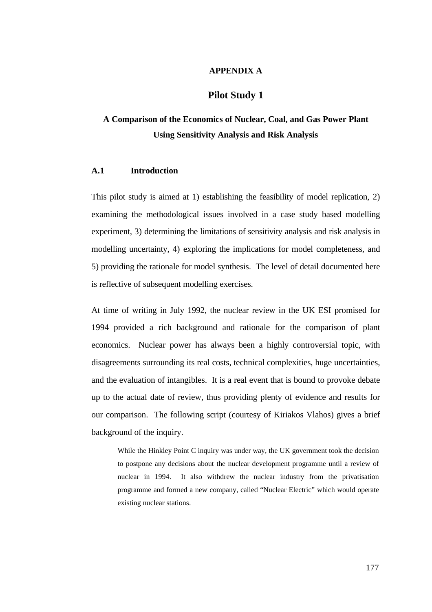#### **APPENDIX A**

# **Pilot Study 1**

# **A Comparison of the Economics of Nuclear, Coal, and Gas Power Plant Using Sensitivity Analysis and Risk Analysis**

# **A.1 Introduction**

This pilot study is aimed at 1) establishing the feasibility of model replication, 2) examining the methodological issues involved in a case study based modelling experiment, 3) determining the limitations of sensitivity analysis and risk analysis in modelling uncertainty, 4) exploring the implications for model completeness, and 5) providing the rationale for model synthesis. The level of detail documented here is reflective of subsequent modelling exercises.

At time of writing in July 1992, the nuclear review in the UK ESI promised for 1994 provided a rich background and rationale for the comparison of plant economics. Nuclear power has always been a highly controversial topic, with disagreements surrounding its real costs, technical complexities, huge uncertainties, and the evaluation of intangibles. It is a real event that is bound to provoke debate up to the actual date of review, thus providing plenty of evidence and results for our comparison. The following script (courtesy of Kiriakos Vlahos) gives a brief background of the inquiry.

While the Hinkley Point C inquiry was under way, the UK government took the decision to postpone any decisions about the nuclear development programme until a review of nuclear in 1994. It also withdrew the nuclear industry from the privatisation programme and formed a new company, called "Nuclear Electric" which would operate existing nuclear stations.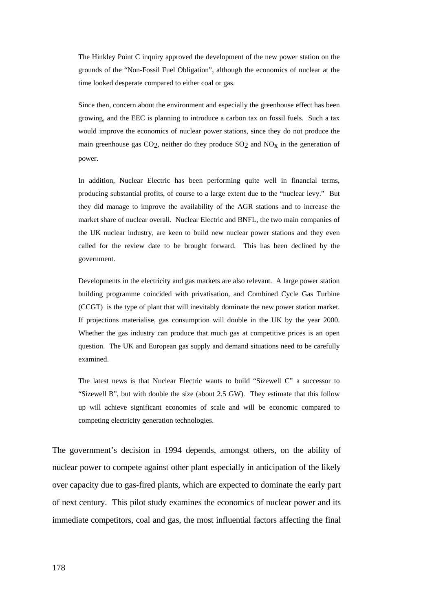The Hinkley Point C inquiry approved the development of the new power station on the grounds of the "Non-Fossil Fuel Obligation", although the economics of nuclear at the time looked desperate compared to either coal or gas.

Since then, concern about the environment and especially the greenhouse effect has been growing, and the EEC is planning to introduce a carbon tax on fossil fuels. Such a tax would improve the economics of nuclear power stations, since they do not produce the main greenhouse gas  $CO<sub>2</sub>$ , neither do they produce  $SO<sub>2</sub>$  and  $NO<sub>X</sub>$  in the generation of power.

In addition, Nuclear Electric has been performing quite well in financial terms, producing substantial profits, of course to a large extent due to the "nuclear levy." But they did manage to improve the availability of the AGR stations and to increase the market share of nuclear overall. Nuclear Electric and BNFL, the two main companies of the UK nuclear industry, are keen to build new nuclear power stations and they even called for the review date to be brought forward. This has been declined by the government.

Developments in the electricity and gas markets are also relevant. A large power station building programme coincided with privatisation, and Combined Cycle Gas Turbine (CCGT) is the type of plant that will inevitably dominate the new power station market. If projections materialise, gas consumption will double in the UK by the year 2000. Whether the gas industry can produce that much gas at competitive prices is an open question. The UK and European gas supply and demand situations need to be carefully examined.

The latest news is that Nuclear Electric wants to build "Sizewell C" a successor to "Sizewell B", but with double the size (about 2.5 GW). They estimate that this follow up will achieve significant economies of scale and will be economic compared to competing electricity generation technologies.

The government's decision in 1994 depends, amongst others, on the ability of nuclear power to compete against other plant especially in anticipation of the likely over capacity due to gas-fired plants, which are expected to dominate the early part of next century. This pilot study examines the economics of nuclear power and its immediate competitors, coal and gas, the most influential factors affecting the final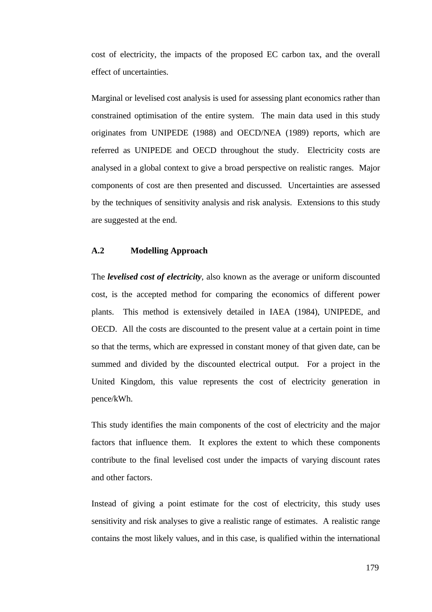cost of electricity, the impacts of the proposed EC carbon tax, and the overall effect of uncertainties.

Marginal or levelised cost analysis is used for assessing plant economics rather than constrained optimisation of the entire system. The main data used in this study originates from UNIPEDE (1988) and OECD/NEA (1989) reports, which are referred as UNIPEDE and OECD throughout the study. Electricity costs are analysed in a global context to give a broad perspective on realistic ranges. Major components of cost are then presented and discussed. Uncertainties are assessed by the techniques of sensitivity analysis and risk analysis. Extensions to this study are suggested at the end.

# **A.2 Modelling Approach**

The *levelised cost of electricity*, also known as the average or uniform discounted cost, is the accepted method for comparing the economics of different power plants. This method is extensively detailed in IAEA (1984), UNIPEDE, and OECD. All the costs are discounted to the present value at a certain point in time so that the terms, which are expressed in constant money of that given date, can be summed and divided by the discounted electrical output. For a project in the United Kingdom, this value represents the cost of electricity generation in pence/kWh.

This study identifies the main components of the cost of electricity and the major factors that influence them. It explores the extent to which these components contribute to the final levelised cost under the impacts of varying discount rates and other factors.

Instead of giving a point estimate for the cost of electricity, this study uses sensitivity and risk analyses to give a realistic range of estimates. A realistic range contains the most likely values, and in this case, is qualified within the international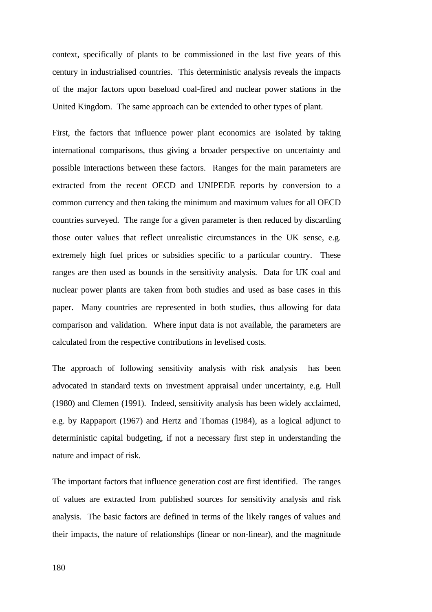context, specifically of plants to be commissioned in the last five years of this century in industrialised countries. This deterministic analysis reveals the impacts of the major factors upon baseload coal-fired and nuclear power stations in the United Kingdom. The same approach can be extended to other types of plant.

First, the factors that influence power plant economics are isolated by taking international comparisons, thus giving a broader perspective on uncertainty and possible interactions between these factors. Ranges for the main parameters are extracted from the recent OECD and UNIPEDE reports by conversion to a common currency and then taking the minimum and maximum values for all OECD countries surveyed. The range for a given parameter is then reduced by discarding those outer values that reflect unrealistic circumstances in the UK sense, e.g. extremely high fuel prices or subsidies specific to a particular country. These ranges are then used as bounds in the sensitivity analysis. Data for UK coal and nuclear power plants are taken from both studies and used as base cases in this paper. Many countries are represented in both studies, thus allowing for data comparison and validation. Where input data is not available, the parameters are calculated from the respective contributions in levelised costs.

The approach of following sensitivity analysis with risk analysis has been advocated in standard texts on investment appraisal under uncertainty, e.g. Hull (1980) and Clemen (1991). Indeed, sensitivity analysis has been widely acclaimed, e.g. by Rappaport (1967) and Hertz and Thomas (1984), as a logical adjunct to deterministic capital budgeting, if not a necessary first step in understanding the nature and impact of risk.

The important factors that influence generation cost are first identified. The ranges of values are extracted from published sources for sensitivity analysis and risk analysis. The basic factors are defined in terms of the likely ranges of values and their impacts, the nature of relationships (linear or non-linear), and the magnitude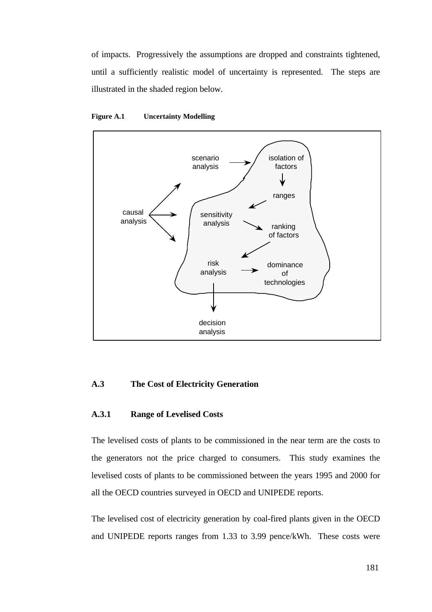of impacts. Progressively the assumptions are dropped and constraints tightened, until a sufficiently realistic model of uncertainty is represented. The steps are illustrated in the shaded region below.





### **A.3 The Cost of Electricity Generation**

#### **A.3.1 Range of Levelised Costs**

The levelised costs of plants to be commissioned in the near term are the costs to the generators not the price charged to consumers. This study examines the levelised costs of plants to be commissioned between the years 1995 and 2000 for all the OECD countries surveyed in OECD and UNIPEDE reports.

The levelised cost of electricity generation by coal-fired plants given in the OECD and UNIPEDE reports ranges from 1.33 to 3.99 pence/kWh. These costs were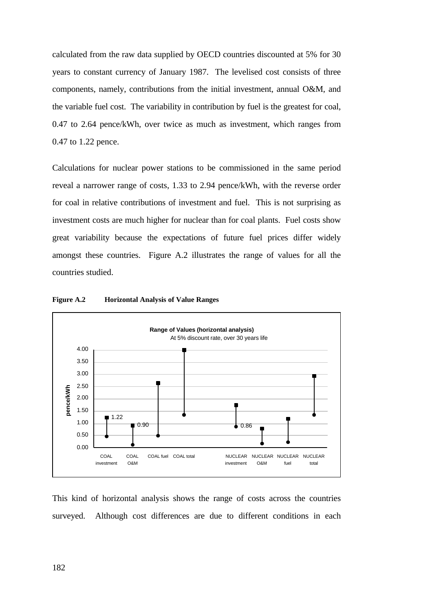calculated from the raw data supplied by OECD countries discounted at 5% for 30 years to constant currency of January 1987. The levelised cost consists of three components, namely, contributions from the initial investment, annual O&M, and the variable fuel cost. The variability in contribution by fuel is the greatest for coal, 0.47 to 2.64 pence/kWh, over twice as much as investment, which ranges from 0.47 to 1.22 pence.

Calculations for nuclear power stations to be commissioned in the same period reveal a narrower range of costs, 1.33 to 2.94 pence/kWh, with the reverse order for coal in relative contributions of investment and fuel. This is not surprising as investment costs are much higher for nuclear than for coal plants. Fuel costs show great variability because the expectations of future fuel prices differ widely amongst these countries. Figure A.2 illustrates the range of values for all the countries studied.



**Figure A.2 Horizontal Analysis of Value Ranges**

This kind of horizontal analysis shows the range of costs across the countries surveyed. Although cost differences are due to different conditions in each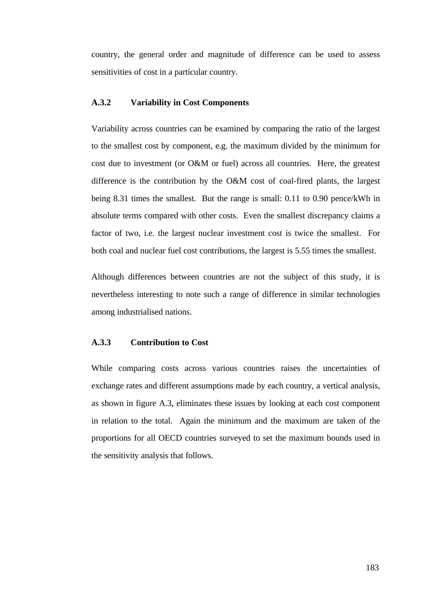country, the general order and magnitude of difference can be used to assess sensitivities of cost in a particular country.

### **A.3.2 Variability in Cost Components**

Variability across countries can be examined by comparing the ratio of the largest to the smallest cost by component, e.g. the maximum divided by the minimum for cost due to investment (or O&M or fuel) across all countries. Here, the greatest difference is the contribution by the O&M cost of coal-fired plants, the largest being 8.31 times the smallest. But the range is small: 0.11 to 0.90 pence/kWh in absolute terms compared with other costs. Even the smallest discrepancy claims a factor of two, i.e. the largest nuclear investment cost is twice the smallest. For both coal and nuclear fuel cost contributions, the largest is 5.55 times the smallest.

Although differences between countries are not the subject of this study, it is nevertheless interesting to note such a range of difference in similar technologies among industrialised nations.

### **A.3.3 Contribution to Cost**

While comparing costs across various countries raises the uncertainties of exchange rates and different assumptions made by each country, a vertical analysis, as shown in figure A.3, eliminates these issues by looking at each cost component in relation to the total. Again the minimum and the maximum are taken of the proportions for all OECD countries surveyed to set the maximum bounds used in the sensitivity analysis that follows.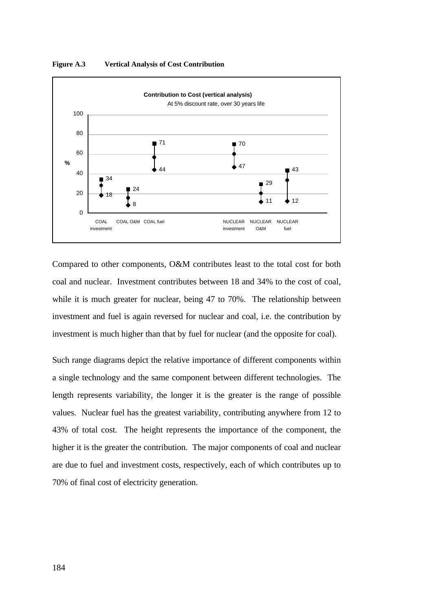

**Figure A.3 Vertical Analysis of Cost Contribution**

Compared to other components, O&M contributes least to the total cost for both coal and nuclear. Investment contributes between 18 and 34% to the cost of coal, while it is much greater for nuclear, being 47 to 70%. The relationship between investment and fuel is again reversed for nuclear and coal, i.e. the contribution by investment is much higher than that by fuel for nuclear (and the opposite for coal).

Such range diagrams depict the relative importance of different components within a single technology and the same component between different technologies. The length represents variability, the longer it is the greater is the range of possible values. Nuclear fuel has the greatest variability, contributing anywhere from 12 to 43% of total cost. The height represents the importance of the component, the higher it is the greater the contribution. The major components of coal and nuclear are due to fuel and investment costs, respectively, each of which contributes up to 70% of final cost of electricity generation.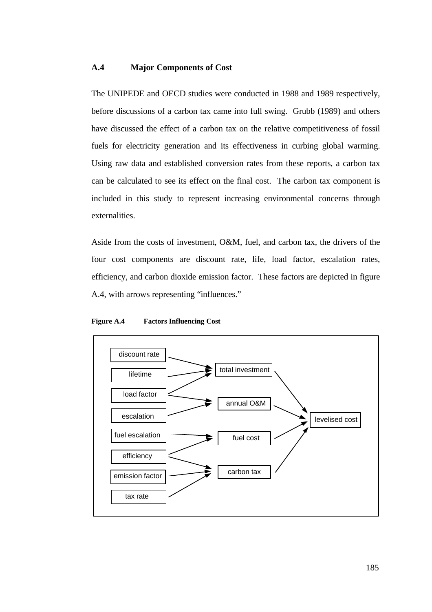#### **A.4 Major Components of Cost**

The UNIPEDE and OECD studies were conducted in 1988 and 1989 respectively, before discussions of a carbon tax came into full swing. Grubb (1989) and others have discussed the effect of a carbon tax on the relative competitiveness of fossil fuels for electricity generation and its effectiveness in curbing global warming. Using raw data and established conversion rates from these reports, a carbon tax can be calculated to see its effect on the final cost. The carbon tax component is included in this study to represent increasing environmental concerns through externalities.

Aside from the costs of investment, O&M, fuel, and carbon tax, the drivers of the four cost components are discount rate, life, load factor, escalation rates, efficiency, and carbon dioxide emission factor. These factors are depicted in figure A.4, with arrows representing "influences."

#### **Figure A.4 Factors Influencing Cost**

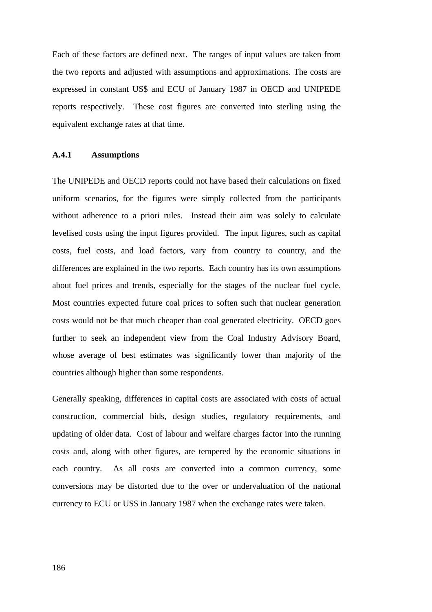Each of these factors are defined next. The ranges of input values are taken from the two reports and adjusted with assumptions and approximations. The costs are expressed in constant US\$ and ECU of January 1987 in OECD and UNIPEDE reports respectively. These cost figures are converted into sterling using the equivalent exchange rates at that time.

#### **A.4.1 Assumptions**

The UNIPEDE and OECD reports could not have based their calculations on fixed uniform scenarios, for the figures were simply collected from the participants without adherence to a priori rules. Instead their aim was solely to calculate levelised costs using the input figures provided. The input figures, such as capital costs, fuel costs, and load factors, vary from country to country, and the differences are explained in the two reports. Each country has its own assumptions about fuel prices and trends, especially for the stages of the nuclear fuel cycle. Most countries expected future coal prices to soften such that nuclear generation costs would not be that much cheaper than coal generated electricity. OECD goes further to seek an independent view from the Coal Industry Advisory Board, whose average of best estimates was significantly lower than majority of the countries although higher than some respondents.

Generally speaking, differences in capital costs are associated with costs of actual construction, commercial bids, design studies, regulatory requirements, and updating of older data. Cost of labour and welfare charges factor into the running costs and, along with other figures, are tempered by the economic situations in each country. As all costs are converted into a common currency, some conversions may be distorted due to the over or undervaluation of the national currency to ECU or US\$ in January 1987 when the exchange rates were taken.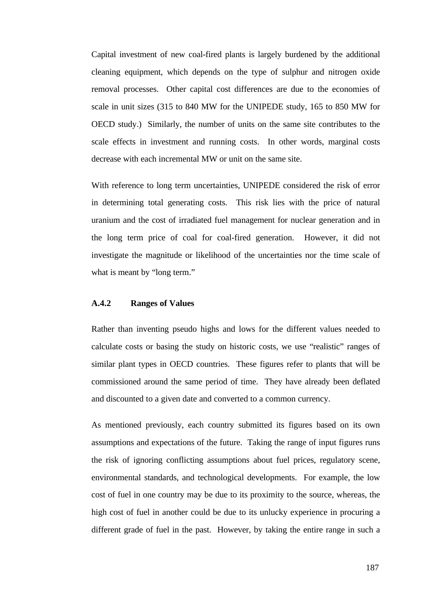Capital investment of new coal-fired plants is largely burdened by the additional cleaning equipment, which depends on the type of sulphur and nitrogen oxide removal processes. Other capital cost differences are due to the economies of scale in unit sizes (315 to 840 MW for the UNIPEDE study, 165 to 850 MW for OECD study.) Similarly, the number of units on the same site contributes to the scale effects in investment and running costs. In other words, marginal costs decrease with each incremental MW or unit on the same site.

With reference to long term uncertainties, UNIPEDE considered the risk of error in determining total generating costs. This risk lies with the price of natural uranium and the cost of irradiated fuel management for nuclear generation and in the long term price of coal for coal-fired generation. However, it did not investigate the magnitude or likelihood of the uncertainties nor the time scale of what is meant by "long term."

### **A.4.2 Ranges of Values**

Rather than inventing pseudo highs and lows for the different values needed to calculate costs or basing the study on historic costs, we use "realistic" ranges of similar plant types in OECD countries. These figures refer to plants that will be commissioned around the same period of time. They have already been deflated and discounted to a given date and converted to a common currency.

As mentioned previously, each country submitted its figures based on its own assumptions and expectations of the future. Taking the range of input figures runs the risk of ignoring conflicting assumptions about fuel prices, regulatory scene, environmental standards, and technological developments. For example, the low cost of fuel in one country may be due to its proximity to the source, whereas, the high cost of fuel in another could be due to its unlucky experience in procuring a different grade of fuel in the past. However, by taking the entire range in such a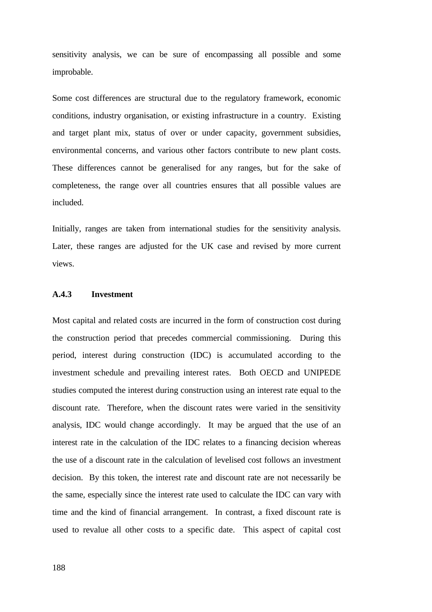sensitivity analysis, we can be sure of encompassing all possible and some improbable.

Some cost differences are structural due to the regulatory framework, economic conditions, industry organisation, or existing infrastructure in a country. Existing and target plant mix, status of over or under capacity, government subsidies, environmental concerns, and various other factors contribute to new plant costs. These differences cannot be generalised for any ranges, but for the sake of completeness, the range over all countries ensures that all possible values are included.

Initially, ranges are taken from international studies for the sensitivity analysis. Later, these ranges are adjusted for the UK case and revised by more current views.

### **A.4.3 Investment**

Most capital and related costs are incurred in the form of construction cost during the construction period that precedes commercial commissioning. During this period, interest during construction (IDC) is accumulated according to the investment schedule and prevailing interest rates. Both OECD and UNIPEDE studies computed the interest during construction using an interest rate equal to the discount rate. Therefore, when the discount rates were varied in the sensitivity analysis, IDC would change accordingly. It may be argued that the use of an interest rate in the calculation of the IDC relates to a financing decision whereas the use of a discount rate in the calculation of levelised cost follows an investment decision. By this token, the interest rate and discount rate are not necessarily be the same, especially since the interest rate used to calculate the IDC can vary with time and the kind of financial arrangement. In contrast, a fixed discount rate is used to revalue all other costs to a specific date. This aspect of capital cost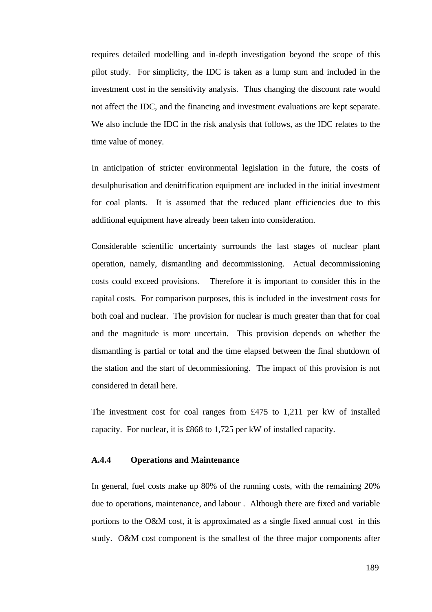requires detailed modelling and in-depth investigation beyond the scope of this pilot study. For simplicity, the IDC is taken as a lump sum and included in the investment cost in the sensitivity analysis. Thus changing the discount rate would not affect the IDC, and the financing and investment evaluations are kept separate. We also include the IDC in the risk analysis that follows, as the IDC relates to the time value of money.

In anticipation of stricter environmental legislation in the future, the costs of desulphurisation and denitrification equipment are included in the initial investment for coal plants. It is assumed that the reduced plant efficiencies due to this additional equipment have already been taken into consideration.

Considerable scientific uncertainty surrounds the last stages of nuclear plant operation, namely, dismantling and decommissioning. Actual decommissioning costs could exceed provisions. Therefore it is important to consider this in the capital costs. For comparison purposes, this is included in the investment costs for both coal and nuclear. The provision for nuclear is much greater than that for coal and the magnitude is more uncertain. This provision depends on whether the dismantling is partial or total and the time elapsed between the final shutdown of the station and the start of decommissioning. The impact of this provision is not considered in detail here.

The investment cost for coal ranges from £475 to 1,211 per kW of installed capacity. For nuclear, it is £868 to 1,725 per kW of installed capacity.

### **A.4.4 Operations and Maintenance**

In general, fuel costs make up 80% of the running costs, with the remaining 20% due to operations, maintenance, and labour . Although there are fixed and variable portions to the O&M cost, it is approximated as a single fixed annual cost in this study. O&M cost component is the smallest of the three major components after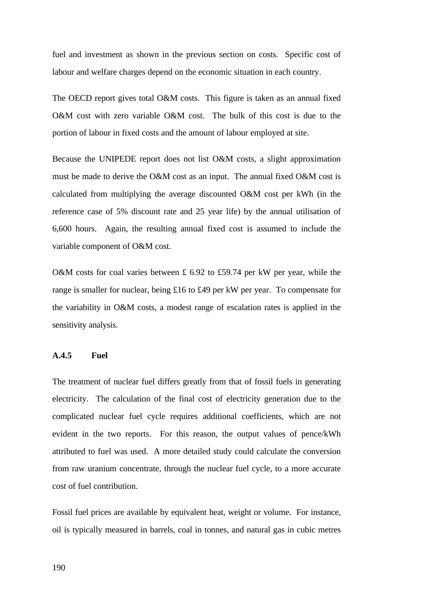fuel and investment as shown in the previous section on costs. Specific cost of labour and welfare charges depend on the economic situation in each country.

The OECD report gives total O&M costs. This figure is taken as an annual fixed O&M cost with zero variable O&M cost. The bulk of this cost is due to the portion of labour in fixed costs and the amount of labour employed at site.

Because the UNIPEDE report does not list O&M costs, a slight approximation must be made to derive the O&M cost as an input. The annual fixed O&M cost is calculated from multiplying the average discounted O&M cost per kWh (in the reference case of 5% discount rate and 25 year life) by the annual utilisation of 6,600 hours. Again, the resulting annual fixed cost is assumed to include the variable component of O&M cost.

O&M costs for coal varies between £ 6.92 to £59.74 per kW per year, while the range is smaller for nuclear, being £16 to £49 per kW per year. To compensate for the variability in O&M costs, a modest range of escalation rates is applied in the sensitivity analysis.

# **A.4.5 Fuel**

The treatment of nuclear fuel differs greatly from that of fossil fuels in generating electricity. The calculation of the final cost of electricity generation due to the complicated nuclear fuel cycle requires additional coefficients, which are not evident in the two reports. For this reason, the output values of pence/kWh attributed to fuel was used. A more detailed study could calculate the conversion from raw uranium concentrate, through the nuclear fuel cycle, to a more accurate cost of fuel contribution.

Fossil fuel prices are available by equivalent heat, weight or volume. For instance, oil is typically measured in barrels, coal in tonnes, and natural gas in cubic metres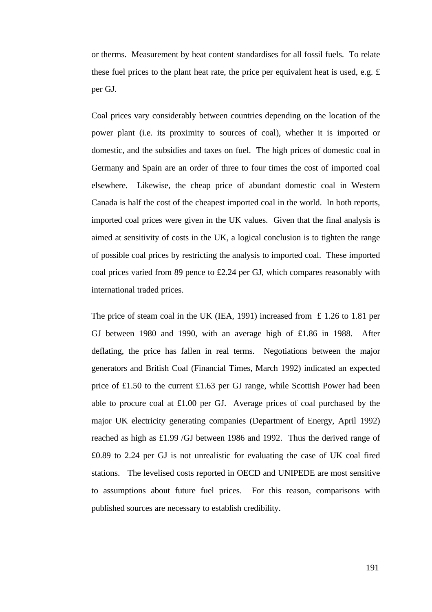or therms. Measurement by heat content standardises for all fossil fuels. To relate these fuel prices to the plant heat rate, the price per equivalent heat is used, e.g. £ per GJ.

Coal prices vary considerably between countries depending on the location of the power plant (i.e. its proximity to sources of coal), whether it is imported or domestic, and the subsidies and taxes on fuel. The high prices of domestic coal in Germany and Spain are an order of three to four times the cost of imported coal elsewhere. Likewise, the cheap price of abundant domestic coal in Western Canada is half the cost of the cheapest imported coal in the world. In both reports, imported coal prices were given in the UK values. Given that the final analysis is aimed at sensitivity of costs in the UK, a logical conclusion is to tighten the range of possible coal prices by restricting the analysis to imported coal. These imported coal prices varied from 89 pence to £2.24 per GJ, which compares reasonably with international traded prices.

The price of steam coal in the UK (IEA, 1991) increased from  $\pm$  1.26 to 1.81 per GJ between 1980 and 1990, with an average high of £1.86 in 1988. After deflating, the price has fallen in real terms. Negotiations between the major generators and British Coal (Financial Times, March 1992) indicated an expected price of £1.50 to the current £1.63 per GJ range, while Scottish Power had been able to procure coal at £1.00 per GJ. Average prices of coal purchased by the major UK electricity generating companies (Department of Energy, April 1992) reached as high as £1.99 /GJ between 1986 and 1992. Thus the derived range of £0.89 to 2.24 per GJ is not unrealistic for evaluating the case of UK coal fired stations. The levelised costs reported in OECD and UNIPEDE are most sensitive to assumptions about future fuel prices. For this reason, comparisons with published sources are necessary to establish credibility.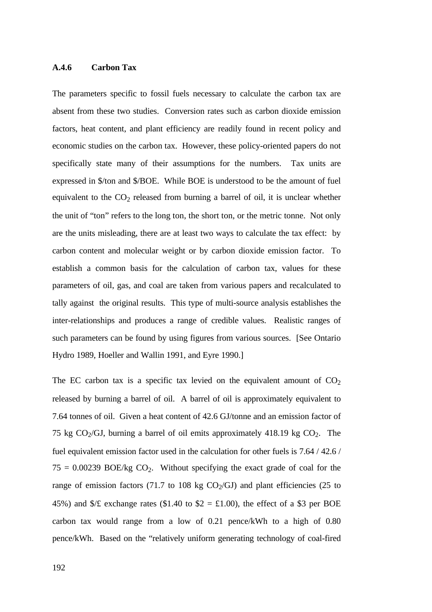# **A.4.6 Carbon Tax**

The parameters specific to fossil fuels necessary to calculate the carbon tax are absent from these two studies. Conversion rates such as carbon dioxide emission factors, heat content, and plant efficiency are readily found in recent policy and economic studies on the carbon tax. However, these policy-oriented papers do not specifically state many of their assumptions for the numbers. Tax units are expressed in \$/ton and \$/BOE. While BOE is understood to be the amount of fuel equivalent to the  $CO<sub>2</sub>$  released from burning a barrel of oil, it is unclear whether the unit of "ton" refers to the long ton, the short ton, or the metric tonne. Not only are the units misleading, there are at least two ways to calculate the tax effect: by carbon content and molecular weight or by carbon dioxide emission factor. To establish a common basis for the calculation of carbon tax, values for these parameters of oil, gas, and coal are taken from various papers and recalculated to tally against the original results. This type of multi-source analysis establishes the inter-relationships and produces a range of credible values. Realistic ranges of such parameters can be found by using figures from various sources. [See Ontario Hydro 1989, Hoeller and Wallin 1991, and Eyre 1990.]

The EC carbon tax is a specific tax levied on the equivalent amount of  $CO<sub>2</sub>$ released by burning a barrel of oil. A barrel of oil is approximately equivalent to 7.64 tonnes of oil. Given a heat content of 42.6 GJ/tonne and an emission factor of 75 kg  $CO_2/GJ$ , burning a barrel of oil emits approximately 418.19 kg  $CO_2$ . The fuel equivalent emission factor used in the calculation for other fuels is 7.64 / 42.6 /  $75 = 0.00239$  BOE/kg CO<sub>2</sub>. Without specifying the exact grade of coal for the range of emission factors (71.7 to 108 kg  $CO<sub>2</sub>/GI$ ) and plant efficiencies (25 to 45%) and  $\frac{f}{f}$  exchange rates (\$1.40 to \$2 = £1.00), the effect of a \$3 per BOE carbon tax would range from a low of 0.21 pence/kWh to a high of 0.80 pence/kWh. Based on the "relatively uniform generating technology of coal-fired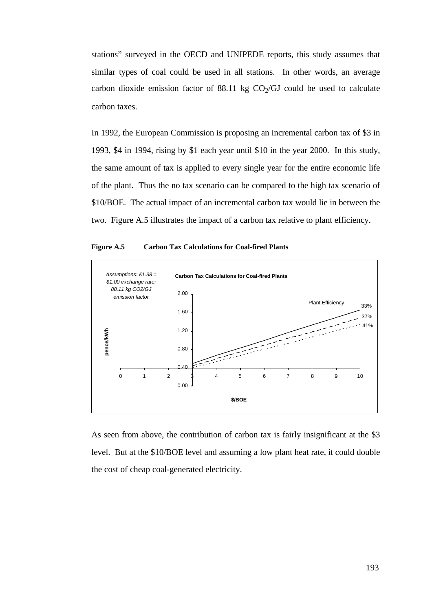stations" surveyed in the OECD and UNIPEDE reports, this study assumes that similar types of coal could be used in all stations. In other words, an average carbon dioxide emission factor of  $88.11 \text{ kg CO}_2/\text{GJ}$  could be used to calculate carbon taxes.

In 1992, the European Commission is proposing an incremental carbon tax of \$3 in 1993, \$4 in 1994, rising by \$1 each year until \$10 in the year 2000. In this study, the same amount of tax is applied to every single year for the entire economic life of the plant. Thus the no tax scenario can be compared to the high tax scenario of \$10/BOE. The actual impact of an incremental carbon tax would lie in between the two. Figure A.5 illustrates the impact of a carbon tax relative to plant efficiency.





As seen from above, the contribution of carbon tax is fairly insignificant at the \$3 level. But at the \$10/BOE level and assuming a low plant heat rate, it could double the cost of cheap coal-generated electricity.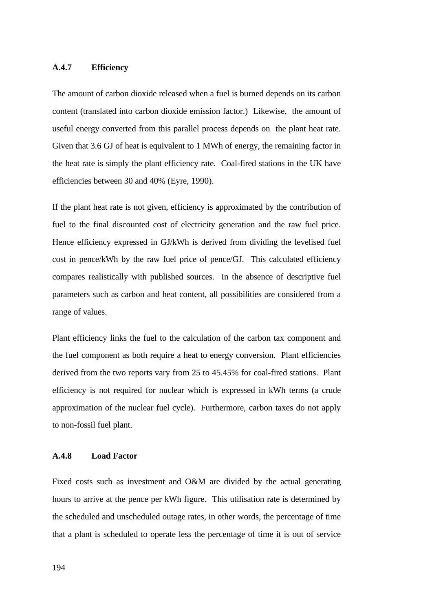# **A.4.7 Efficiency**

The amount of carbon dioxide released when a fuel is burned depends on its carbon content (translated into carbon dioxide emission factor.) Likewise, the amount of useful energy converted from this parallel process depends on the plant heat rate. Given that 3.6 GJ of heat is equivalent to 1 MWh of energy, the remaining factor in the heat rate is simply the plant efficiency rate. Coal-fired stations in the UK have efficiencies between 30 and 40% (Eyre, 1990).

If the plant heat rate is not given, efficiency is approximated by the contribution of fuel to the final discounted cost of electricity generation and the raw fuel price. Hence efficiency expressed in GJ/kWh is derived from dividing the levelised fuel cost in pence/kWh by the raw fuel price of pence/GJ. This calculated efficiency compares realistically with published sources. In the absence of descriptive fuel parameters such as carbon and heat content, all possibilities are considered from a range of values.

Plant efficiency links the fuel to the calculation of the carbon tax component and the fuel component as both require a heat to energy conversion. Plant efficiencies derived from the two reports vary from 25 to 45.45% for coal-fired stations. Plant efficiency is not required for nuclear which is expressed in kWh terms (a crude approximation of the nuclear fuel cycle). Furthermore, carbon taxes do not apply to non-fossil fuel plant.

#### **A.4.8 Load Factor**

Fixed costs such as investment and O&M are divided by the actual generating hours to arrive at the pence per kWh figure. This utilisation rate is determined by the scheduled and unscheduled outage rates, in other words, the percentage of time that a plant is scheduled to operate less the percentage of time it is out of service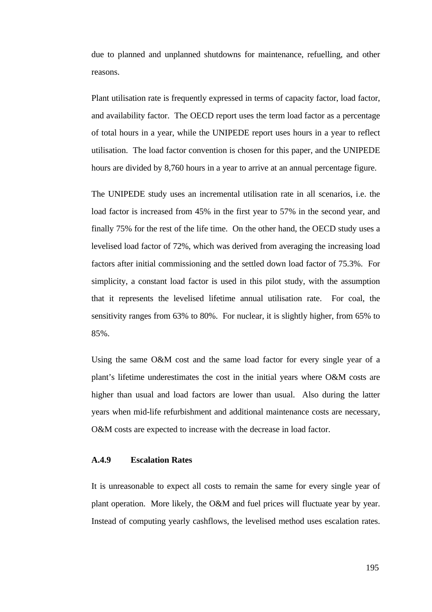due to planned and unplanned shutdowns for maintenance, refuelling, and other reasons.

Plant utilisation rate is frequently expressed in terms of capacity factor, load factor, and availability factor. The OECD report uses the term load factor as a percentage of total hours in a year, while the UNIPEDE report uses hours in a year to reflect utilisation. The load factor convention is chosen for this paper, and the UNIPEDE hours are divided by 8,760 hours in a year to arrive at an annual percentage figure.

The UNIPEDE study uses an incremental utilisation rate in all scenarios, i.e. the load factor is increased from 45% in the first year to 57% in the second year, and finally 75% for the rest of the life time. On the other hand, the OECD study uses a levelised load factor of 72%, which was derived from averaging the increasing load factors after initial commissioning and the settled down load factor of 75.3%. For simplicity, a constant load factor is used in this pilot study, with the assumption that it represents the levelised lifetime annual utilisation rate. For coal, the sensitivity ranges from 63% to 80%. For nuclear, it is slightly higher, from 65% to 85%.

Using the same O&M cost and the same load factor for every single year of a plant's lifetime underestimates the cost in the initial years where O&M costs are higher than usual and load factors are lower than usual. Also during the latter years when mid-life refurbishment and additional maintenance costs are necessary, O&M costs are expected to increase with the decrease in load factor.

# **A.4.9 Escalation Rates**

It is unreasonable to expect all costs to remain the same for every single year of plant operation. More likely, the O&M and fuel prices will fluctuate year by year. Instead of computing yearly cashflows, the levelised method uses escalation rates.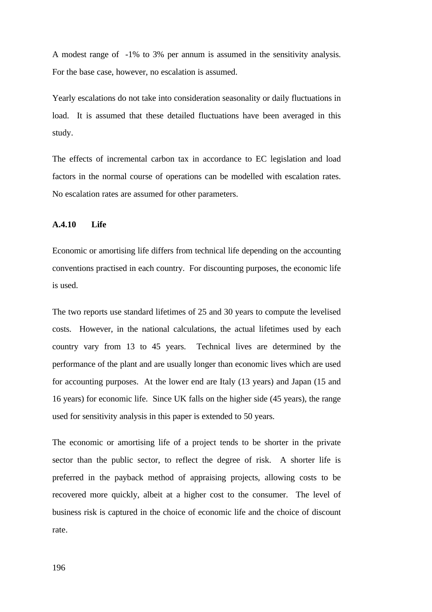A modest range of -1% to 3% per annum is assumed in the sensitivity analysis. For the base case, however, no escalation is assumed.

Yearly escalations do not take into consideration seasonality or daily fluctuations in load. It is assumed that these detailed fluctuations have been averaged in this study.

The effects of incremental carbon tax in accordance to EC legislation and load factors in the normal course of operations can be modelled with escalation rates. No escalation rates are assumed for other parameters.

# **A.4.10 Life**

Economic or amortising life differs from technical life depending on the accounting conventions practised in each country. For discounting purposes, the economic life is used.

The two reports use standard lifetimes of 25 and 30 years to compute the levelised costs. However, in the national calculations, the actual lifetimes used by each country vary from 13 to 45 years. Technical lives are determined by the performance of the plant and are usually longer than economic lives which are used for accounting purposes. At the lower end are Italy (13 years) and Japan (15 and 16 years) for economic life. Since UK falls on the higher side (45 years), the range used for sensitivity analysis in this paper is extended to 50 years.

The economic or amortising life of a project tends to be shorter in the private sector than the public sector, to reflect the degree of risk. A shorter life is preferred in the payback method of appraising projects, allowing costs to be recovered more quickly, albeit at a higher cost to the consumer. The level of business risk is captured in the choice of economic life and the choice of discount rate.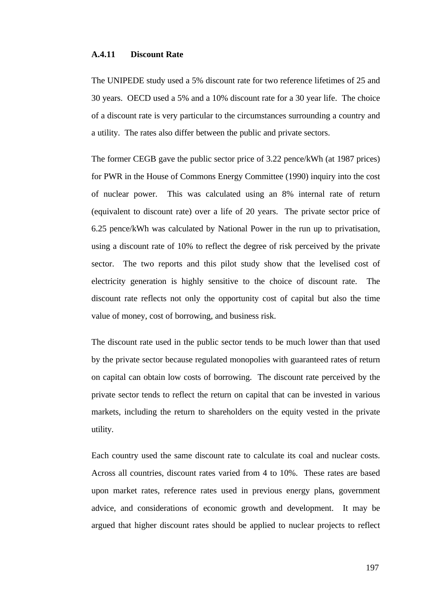# **A.4.11 Discount Rate**

The UNIPEDE study used a 5% discount rate for two reference lifetimes of 25 and 30 years. OECD used a 5% and a 10% discount rate for a 30 year life. The choice of a discount rate is very particular to the circumstances surrounding a country and a utility. The rates also differ between the public and private sectors.

The former CEGB gave the public sector price of 3.22 pence/kWh (at 1987 prices) for PWR in the House of Commons Energy Committee (1990) inquiry into the cost of nuclear power. This was calculated using an 8% internal rate of return (equivalent to discount rate) over a life of 20 years. The private sector price of 6.25 pence/kWh was calculated by National Power in the run up to privatisation, using a discount rate of 10% to reflect the degree of risk perceived by the private sector. The two reports and this pilot study show that the levelised cost of electricity generation is highly sensitive to the choice of discount rate. The discount rate reflects not only the opportunity cost of capital but also the time value of money, cost of borrowing, and business risk.

The discount rate used in the public sector tends to be much lower than that used by the private sector because regulated monopolies with guaranteed rates of return on capital can obtain low costs of borrowing. The discount rate perceived by the private sector tends to reflect the return on capital that can be invested in various markets, including the return to shareholders on the equity vested in the private utility.

Each country used the same discount rate to calculate its coal and nuclear costs. Across all countries, discount rates varied from 4 to 10%. These rates are based upon market rates, reference rates used in previous energy plans, government advice, and considerations of economic growth and development. It may be argued that higher discount rates should be applied to nuclear projects to reflect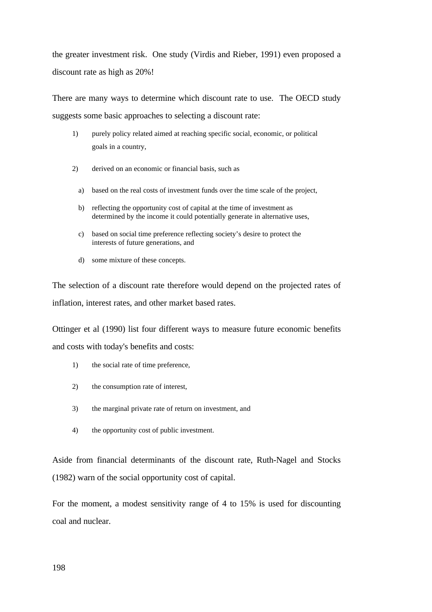the greater investment risk. One study (Virdis and Rieber, 1991) even proposed a discount rate as high as 20%!

There are many ways to determine which discount rate to use. The OECD study suggests some basic approaches to selecting a discount rate:

- 1) purely policy related aimed at reaching specific social, economic, or political goals in a country,
- 2) derived on an economic or financial basis, such as
	- a) based on the real costs of investment funds over the time scale of the project,
	- b) reflecting the opportunity cost of capital at the time of investment as determined by the income it could potentially generate in alternative uses,
	- c) based on social time preference reflecting society's desire to protect the interests of future generations, and
	- d) some mixture of these concepts.

The selection of a discount rate therefore would depend on the projected rates of inflation, interest rates, and other market based rates.

Ottinger et al (1990) list four different ways to measure future economic benefits and costs with today's benefits and costs:

- 1) the social rate of time preference,
- 2) the consumption rate of interest,
- 3) the marginal private rate of return on investment, and
- 4) the opportunity cost of public investment.

Aside from financial determinants of the discount rate, Ruth-Nagel and Stocks (1982) warn of the social opportunity cost of capital.

For the moment, a modest sensitivity range of 4 to 15% is used for discounting coal and nuclear.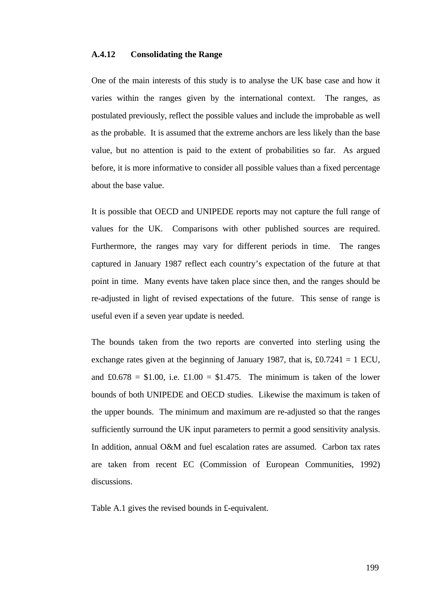# **A.4.12 Consolidating the Range**

One of the main interests of this study is to analyse the UK base case and how it varies within the ranges given by the international context. The ranges, as postulated previously, reflect the possible values and include the improbable as well as the probable. It is assumed that the extreme anchors are less likely than the base value, but no attention is paid to the extent of probabilities so far. As argued before, it is more informative to consider all possible values than a fixed percentage about the base value.

It is possible that OECD and UNIPEDE reports may not capture the full range of values for the UK. Comparisons with other published sources are required. Furthermore, the ranges may vary for different periods in time. The ranges captured in January 1987 reflect each country's expectation of the future at that point in time. Many events have taken place since then, and the ranges should be re-adjusted in light of revised expectations of the future. This sense of range is useful even if a seven year update is needed.

The bounds taken from the two reports are converted into sterling using the exchange rates given at the beginning of January 1987, that is,  $\text{\pounds}0.7241 = 1 \text{ ECU}$ , and  $\pounds0.678 = \$1.00$ , i.e.  $\pounds1.00 = \$1.475$ . The minimum is taken of the lower bounds of both UNIPEDE and OECD studies. Likewise the maximum is taken of the upper bounds. The minimum and maximum are re-adjusted so that the ranges sufficiently surround the UK input parameters to permit a good sensitivity analysis. In addition, annual O&M and fuel escalation rates are assumed. Carbon tax rates are taken from recent EC (Commission of European Communities, 1992) discussions.

Table A.1 gives the revised bounds in £-equivalent.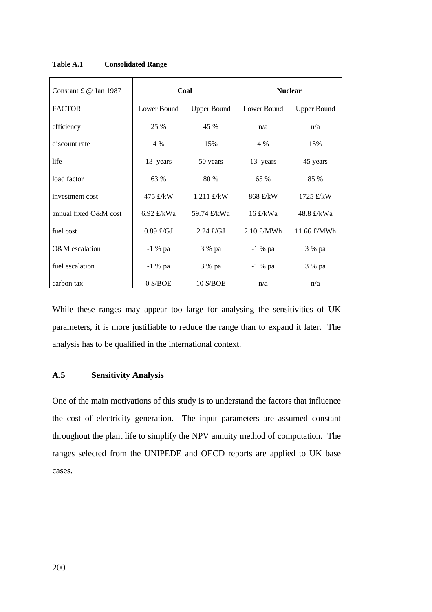| Constant £ $@$ Jan 1987 | Coal                              |                     | <b>Nuclear</b>       |                     |
|-------------------------|-----------------------------------|---------------------|----------------------|---------------------|
| <b>FACTOR</b>           | Lower Bound<br><b>Upper Bound</b> |                     | Lower Bound          | <b>Upper Bound</b>  |
| efficiency              | 25 %                              | 45 %                | n/a                  | n/a                 |
| discount rate           | 4 %                               | 15%                 | 4 %                  | 15%                 |
| life                    | 13 years                          | 50 years            | 13 years             | 45 years            |
| load factor             | 63 %                              | 80 %                | 65 %                 | 85 %                |
| investment cost         | 475 £/kW                          | 1,211 £/kW          | 868 £/kW             | $1725$ £/kW         |
| annual fixed O&M cost   | 6.92 $\pounds$ /kWa               | 59.74 £/kWa         | $16$ £/kWa           | 48.8 £/kWa          |
| fuel cost               | $0.89 \text{ f/GJ}$               | $2.24 \text{ E/GJ}$ | $2.10 \text{ E}/MWh$ | 11.66 $\pounds/MWh$ |
| O&M escalation          | $-1$ % pa                         | 3 % pa              | -1 % pa              | 3 % pa              |
| fuel escalation         | $-1\%$ pa                         | 3 % pa              | -1 % pa              | 3 % pa              |
| carbon tax              | $0$ \$/BOE                        | 10 \$/BOE           | n/a                  | n/a                 |

**Table A.1 Consolidated Range**

While these ranges may appear too large for analysing the sensitivities of UK parameters, it is more justifiable to reduce the range than to expand it later. The analysis has to be qualified in the international context.

# **A.5 Sensitivity Analysis**

One of the main motivations of this study is to understand the factors that influence the cost of electricity generation. The input parameters are assumed constant throughout the plant life to simplify the NPV annuity method of computation. The ranges selected from the UNIPEDE and OECD reports are applied to UK base cases.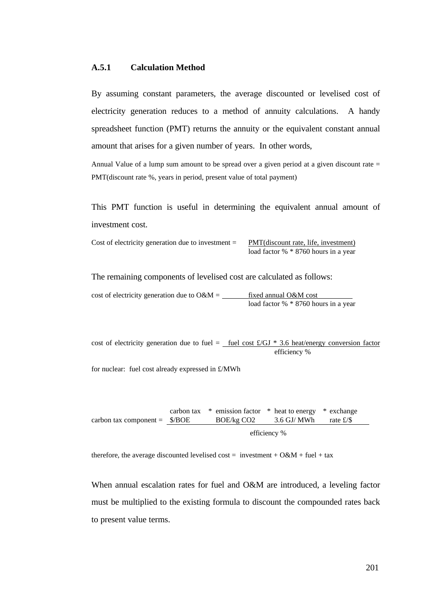### **A.5.1 Calculation Method**

By assuming constant parameters, the average discounted or levelised cost of electricity generation reduces to a method of annuity calculations. A handy spreadsheet function (PMT) returns the annuity or the equivalent constant annual amount that arises for a given number of years. In other words,

Annual Value of a lump sum amount to be spread over a given period at a given discount rate = PMT(discount rate %, years in period, present value of total payment)

This PMT function is useful in determining the equivalent annual amount of investment cost.

| Cost of electricity generation due to investment $=$ | PMT(discount rate, life |
|------------------------------------------------------|-------------------------|
|                                                      | .                       |

 $\epsilon$ , investment) load factor % \* 8760 hours in a year

The remaining components of levelised cost are calculated as follows:

| cost of electricity generation due to $O\&M =$ | fixed annual O&M cost                |
|------------------------------------------------|--------------------------------------|
|                                                | load factor % * 8760 hours in a year |

cost of electricity generation due to fuel = fuel cost  $\text{\pounds}/GI * 3.6$  heat/energy conversion factor efficiency %

for nuclear: fuel cost already expressed in £/MWh

carbon tax component = \$/BOE carbon tax \* emission factor \* heat to energy \* exchange BOE/kg CO2 3.6 GJ/ MWh rate £/\$ efficiency %

therefore, the average discounted levelised cost = investment +  $O\&M + \text{fuel} + \text{tax}$ 

When annual escalation rates for fuel and O&M are introduced, a leveling factor must be multiplied to the existing formula to discount the compounded rates back to present value terms.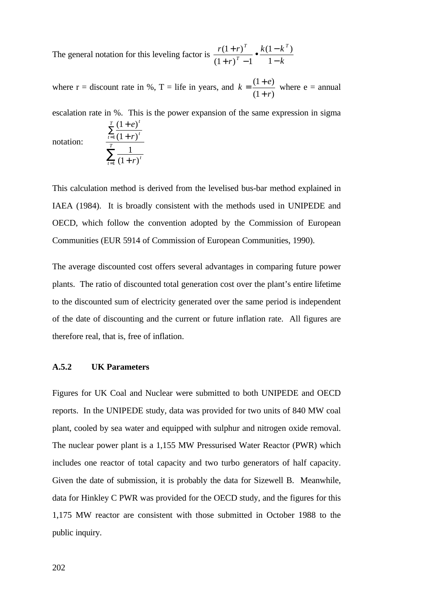The general notation for this leveling factor is  $\frac{r(1+r)}{r}$ *r*  $k(1-k)$ *k T T*  $(1+r)^{T}$   $k(1-k^{T})$  $(1 + r)$  $(1+r)^{T}$   $k(1-k^{T})$  $(1+r)^{T}-1$ 1 1 +  $+r)^{T}$  –  $\bullet \frac{k(1-\pi)}{k}$ −

where r = discount rate in %, T = life in years, and  $k = \frac{(1+e)^k}{(1-e)^k}$ *r*  $=\frac{(1+1)^2}{1}$ +  $(1 + e)$  $(1 + r)$ 1 1 where  $e =$  annual

escalation rate in %. This is the power expansion of the same expression in sigma

notation:

$$
\frac{\sum_{t=1}^{T} \frac{(1+t)^{t}}{(1+r)^{t}}}{\sum_{t=1}^{T} \frac{1}{(1+r)^{t}}}
$$

 $(1 + e)$ 

*e*

*t*

+

1

*T*

This calculation method is derived from the levelised bus-bar method explained in IAEA (1984). It is broadly consistent with the methods used in UNIPEDE and OECD, which follow the convention adopted by the Commission of European Communities (EUR 5914 of Commission of European Communities, 1990).

The average discounted cost offers several advantages in comparing future power plants. The ratio of discounted total generation cost over the plant's entire lifetime to the discounted sum of electricity generated over the same period is independent of the date of discounting and the current or future inflation rate. All figures are therefore real, that is, free of inflation.

### **A.5.2 UK Parameters**

Figures for UK Coal and Nuclear were submitted to both UNIPEDE and OECD reports. In the UNIPEDE study, data was provided for two units of 840 MW coal plant, cooled by sea water and equipped with sulphur and nitrogen oxide removal. The nuclear power plant is a 1,155 MW Pressurised Water Reactor (PWR) which includes one reactor of total capacity and two turbo generators of half capacity. Given the date of submission, it is probably the data for Sizewell B. Meanwhile, data for Hinkley C PWR was provided for the OECD study, and the figures for this 1,175 MW reactor are consistent with those submitted in October 1988 to the public inquiry.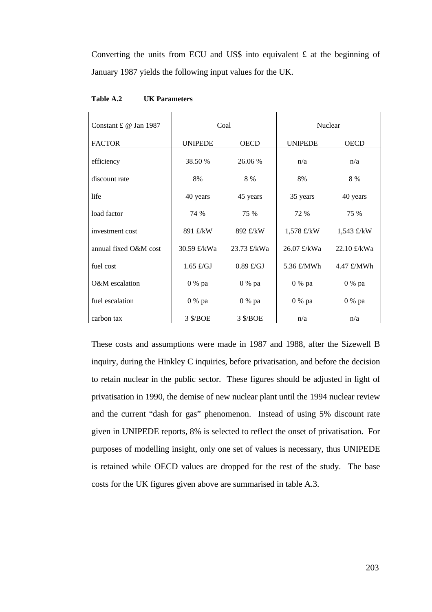Converting the units from ECU and US\$ into equivalent  $\pounds$  at the beginning of January 1987 yields the following input values for the UK.

| Constant £ @ Jan 1987 | Coal           |             | Nuclear        |             |
|-----------------------|----------------|-------------|----------------|-------------|
| <b>FACTOR</b>         | <b>UNIPEDE</b> | <b>OECD</b> | <b>UNIPEDE</b> | <b>OECD</b> |
| efficiency            | 38.50 %        | 26.06 %     | n/a            | n/a         |
| discount rate         | 8%             | 8 %         | 8%             | 8 %         |
| life                  | 40 years       | 45 years    | 35 years       | 40 years    |
| load factor           | 74 %           | 75 %        | 72 %           | 75 %        |
| investment cost       | 891 £/kW       | 892 £/kW    | $1,578$ £/kW   | 1,543 £/kW  |
| annual fixed O&M cost | 30.59 £/kWa    | 23.73 £/kWa | 26.07 £/kWa    | 22.10 £/kWa |
| fuel cost             | $1.65$ £/GJ    | $0.89$ £/GJ | 5.36 £/MWh     | 4.47 £/MWh  |
| O&M escalation        | 0 % pa         | 0 % pa      | 0 % pa         | 0 % pa      |
| fuel escalation       | 0 % pa         | 0 % pa      | 0 % pa         | 0 % pa      |
| carbon tax            | 3 \$/BOE       | 3 \$/BOE    | n/a            | n/a         |

**Table A.2 UK Parameters**

These costs and assumptions were made in 1987 and 1988, after the Sizewell B inquiry, during the Hinkley C inquiries, before privatisation, and before the decision to retain nuclear in the public sector. These figures should be adjusted in light of privatisation in 1990, the demise of new nuclear plant until the 1994 nuclear review and the current "dash for gas" phenomenon. Instead of using 5% discount rate given in UNIPEDE reports, 8% is selected to reflect the onset of privatisation. For purposes of modelling insight, only one set of values is necessary, thus UNIPEDE is retained while OECD values are dropped for the rest of the study. The base costs for the UK figures given above are summarised in table A.3.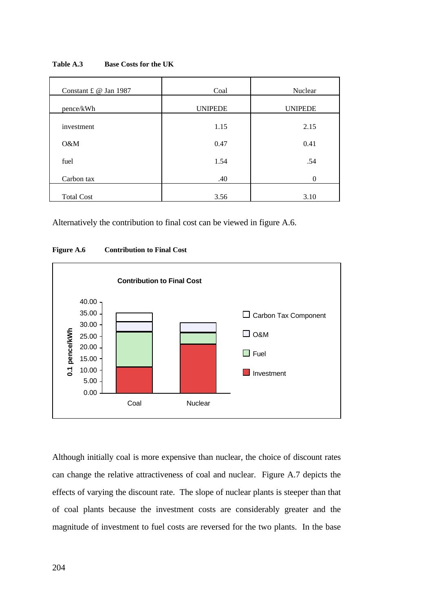| Constant £ @ Jan 1987 | Coal           | Nuclear        |
|-----------------------|----------------|----------------|
| pence/kWh             | <b>UNIPEDE</b> | <b>UNIPEDE</b> |
| investment            | 1.15           | 2.15           |
| O&M                   | 0.47           | 0.41           |
| fuel                  | 1.54           | .54            |
| Carbon tax            | .40            | $\Omega$       |
| <b>Total Cost</b>     | 3.56           | 3.10           |

**Table A.3 Base Costs for the UK**

Alternatively the contribution to final cost can be viewed in figure A.6.





Although initially coal is more expensive than nuclear, the choice of discount rates can change the relative attractiveness of coal and nuclear. Figure A.7 depicts the effects of varying the discount rate. The slope of nuclear plants is steeper than that of coal plants because the investment costs are considerably greater and the magnitude of investment to fuel costs are reversed for the two plants. In the base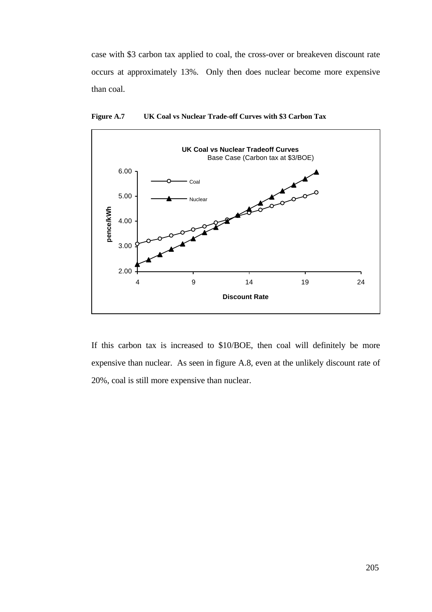case with \$3 carbon tax applied to coal, the cross-over or breakeven discount rate occurs at approximately 13%. Only then does nuclear become more expensive than coal.



**Figure A.7 UK Coal vs Nuclear Trade-off Curves with \$3 Carbon Tax**

If this carbon tax is increased to \$10/BOE, then coal will definitely be more expensive than nuclear. As seen in figure A.8, even at the unlikely discount rate of 20%, coal is still more expensive than nuclear.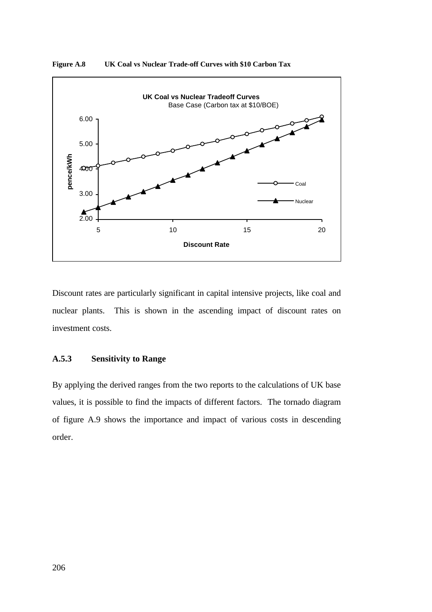

**Figure A.8 UK Coal vs Nuclear Trade-off Curves with \$10 Carbon Tax**

Discount rates are particularly significant in capital intensive projects, like coal and nuclear plants. This is shown in the ascending impact of discount rates on investment costs.

# **A.5.3 Sensitivity to Range**

By applying the derived ranges from the two reports to the calculations of UK base values, it is possible to find the impacts of different factors. The tornado diagram of figure A.9 shows the importance and impact of various costs in descending order.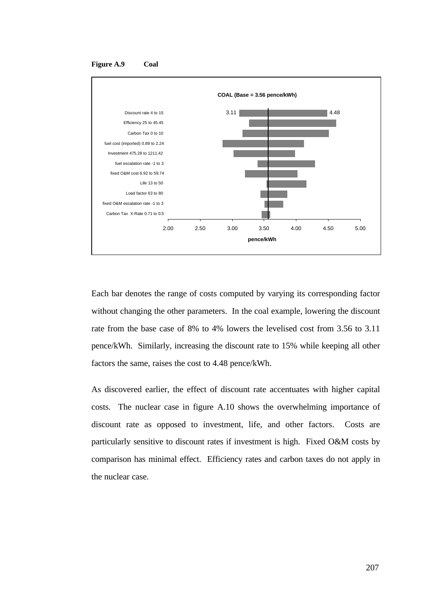



Each bar denotes the range of costs computed by varying its corresponding factor without changing the other parameters. In the coal example, lowering the discount rate from the base case of 8% to 4% lowers the levelised cost from 3.56 to 3.11 pence/kWh. Similarly, increasing the discount rate to 15% while keeping all other factors the same, raises the cost to 4.48 pence/kWh.

As discovered earlier, the effect of discount rate accentuates with higher capital costs. The nuclear case in figure A.10 shows the overwhelming importance of discount rate as opposed to investment, life, and other factors. Costs are particularly sensitive to discount rates if investment is high. Fixed O&M costs by comparison has minimal effect. Efficiency rates and carbon taxes do not apply in the nuclear case.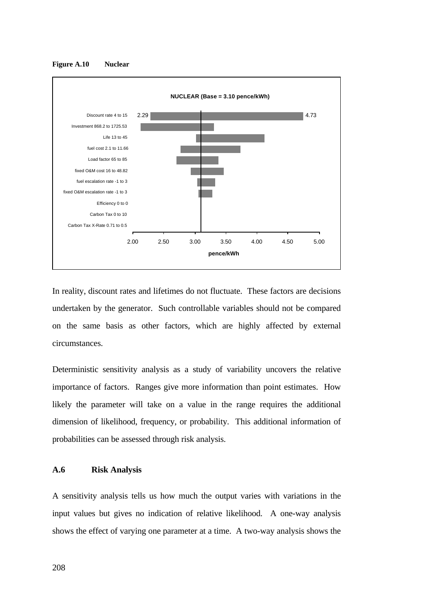

**Figure A.10 Nuclear**

In reality, discount rates and lifetimes do not fluctuate. These factors are decisions undertaken by the generator. Such controllable variables should not be compared on the same basis as other factors, which are highly affected by external circumstances.

Deterministic sensitivity analysis as a study of variability uncovers the relative importance of factors. Ranges give more information than point estimates. How likely the parameter will take on a value in the range requires the additional dimension of likelihood, frequency, or probability. This additional information of probabilities can be assessed through risk analysis.

#### **A.6 Risk Analysis**

A sensitivity analysis tells us how much the output varies with variations in the input values but gives no indication of relative likelihood. A one-way analysis shows the effect of varying one parameter at a time. A two-way analysis shows the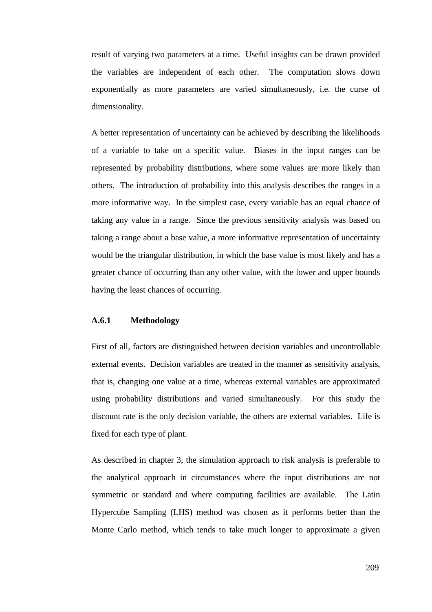result of varying two parameters at a time. Useful insights can be drawn provided the variables are independent of each other. The computation slows down exponentially as more parameters are varied simultaneously, i.e. the curse of dimensionality.

A better representation of uncertainty can be achieved by describing the likelihoods of a variable to take on a specific value. Biases in the input ranges can be represented by probability distributions, where some values are more likely than others. The introduction of probability into this analysis describes the ranges in a more informative way. In the simplest case, every variable has an equal chance of taking any value in a range. Since the previous sensitivity analysis was based on taking a range about a base value, a more informative representation of uncertainty would be the triangular distribution, in which the base value is most likely and has a greater chance of occurring than any other value, with the lower and upper bounds having the least chances of occurring.

# **A.6.1 Methodology**

First of all, factors are distinguished between decision variables and uncontrollable external events. Decision variables are treated in the manner as sensitivity analysis, that is, changing one value at a time, whereas external variables are approximated using probability distributions and varied simultaneously. For this study the discount rate is the only decision variable, the others are external variables. Life is fixed for each type of plant.

As described in chapter 3, the simulation approach to risk analysis is preferable to the analytical approach in circumstances where the input distributions are not symmetric or standard and where computing facilities are available. The Latin Hypercube Sampling (LHS) method was chosen as it performs better than the Monte Carlo method, which tends to take much longer to approximate a given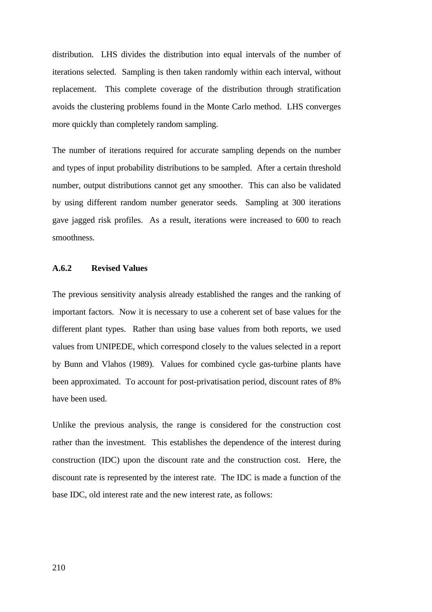distribution. LHS divides the distribution into equal intervals of the number of iterations selected. Sampling is then taken randomly within each interval, without replacement. This complete coverage of the distribution through stratification avoids the clustering problems found in the Monte Carlo method. LHS converges more quickly than completely random sampling.

The number of iterations required for accurate sampling depends on the number and types of input probability distributions to be sampled. After a certain threshold number, output distributions cannot get any smoother. This can also be validated by using different random number generator seeds. Sampling at 300 iterations gave jagged risk profiles. As a result, iterations were increased to 600 to reach smoothness.

# **A.6.2 Revised Values**

The previous sensitivity analysis already established the ranges and the ranking of important factors. Now it is necessary to use a coherent set of base values for the different plant types. Rather than using base values from both reports, we used values from UNIPEDE, which correspond closely to the values selected in a report by Bunn and Vlahos (1989). Values for combined cycle gas-turbine plants have been approximated. To account for post-privatisation period, discount rates of 8% have been used.

Unlike the previous analysis, the range is considered for the construction cost rather than the investment. This establishes the dependence of the interest during construction (IDC) upon the discount rate and the construction cost. Here, the discount rate is represented by the interest rate. The IDC is made a function of the base IDC, old interest rate and the new interest rate, as follows: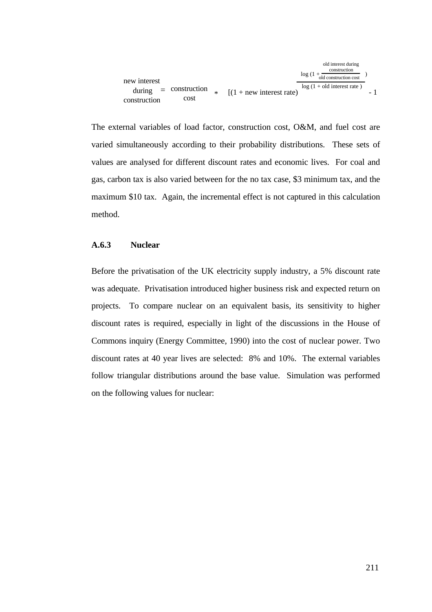

The external variables of load factor, construction cost, O&M, and fuel cost are varied simultaneously according to their probability distributions. These sets of values are analysed for different discount rates and economic lives. For coal and gas, carbon tax is also varied between for the no tax case, \$3 minimum tax, and the maximum \$10 tax. Again, the incremental effect is not captured in this calculation method.

### **A.6.3 Nuclear**

Before the privatisation of the UK electricity supply industry, a 5% discount rate was adequate. Privatisation introduced higher business risk and expected return on projects. To compare nuclear on an equivalent basis, its sensitivity to higher discount rates is required, especially in light of the discussions in the House of Commons inquiry (Energy Committee, 1990) into the cost of nuclear power. Two discount rates at 40 year lives are selected: 8% and 10%. The external variables follow triangular distributions around the base value. Simulation was performed on the following values for nuclear: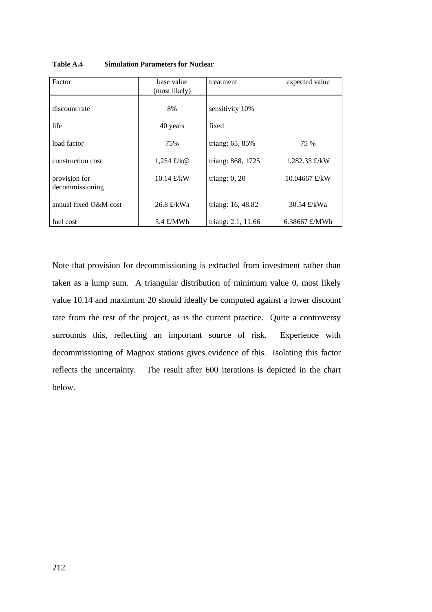| Factor                           | base value<br>(most likely) | treatment          | expected value         |
|----------------------------------|-----------------------------|--------------------|------------------------|
| discount rate                    | 8%                          | sensitivity 10%    |                        |
| life                             | 40 years                    | fixed              |                        |
| load factor                      | 75%                         | triang: 65, 85%    | 75 %                   |
| construction cost                | 1,254 £/ $k@$               | triang: 868, 1725  | 1,282.33 $\pounds$ /kW |
| provision for<br>decommissioning | 10.14 $\pounds$ /kW         | triang: $0$ , $20$ | 10.04667 £/kW          |
| annual fixed O&M cost            | 26.8 £/kWa                  | triang: 16, 48.82  | 30.54 £/kWa            |
| fuel cost                        | 5.4 $\pounds/MWh$           | triang: 2.1, 11.66 | 6.38667 £/MWh          |

**Table A.4 Simulation Parameters for Nuclear**

Note that provision for decommissioning is extracted from investment rather than taken as a lump sum. A triangular distribution of minimum value 0, most likely value 10.14 and maximum 20 should ideally be computed against a lower discount rate from the rest of the project, as is the current practice. Quite a controversy surrounds this, reflecting an important source of risk. Experience with decommissioning of Magnox stations gives evidence of this. Isolating this factor reflects the uncertainty. The result after 600 iterations is depicted in the chart below.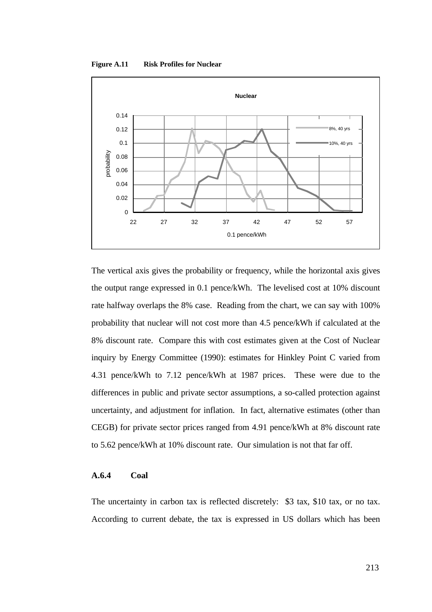**Figure A.11 Risk Profiles for Nuclear**



The vertical axis gives the probability or frequency, while the horizontal axis gives the output range expressed in 0.1 pence/kWh. The levelised cost at 10% discount rate halfway overlaps the 8% case. Reading from the chart, we can say with 100% probability that nuclear will not cost more than 4.5 pence/kWh if calculated at the 8% discount rate. Compare this with cost estimates given at the Cost of Nuclear inquiry by Energy Committee (1990): estimates for Hinkley Point C varied from 4.31 pence/kWh to 7.12 pence/kWh at 1987 prices. These were due to the differences in public and private sector assumptions, a so-called protection against uncertainty, and adjustment for inflation. In fact, alternative estimates (other than CEGB) for private sector prices ranged from 4.91 pence/kWh at 8% discount rate to 5.62 pence/kWh at 10% discount rate. Our simulation is not that far off.

### **A.6.4 Coal**

The uncertainty in carbon tax is reflected discretely: \$3 tax, \$10 tax, or no tax. According to current debate, the tax is expressed in US dollars which has been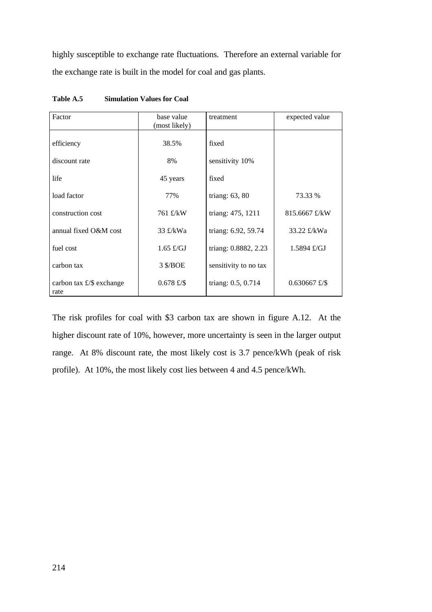highly susceptible to exchange rate fluctuations. Therefore an external variable for the exchange rate is built in the model for coal and gas plants.

| Factor                                    | base value<br>(most likely) | treatment             | expected value  |
|-------------------------------------------|-----------------------------|-----------------------|-----------------|
| efficiency                                | 38.5%                       | fixed                 |                 |
| discount rate                             | 8%                          | sensitivity 10%       |                 |
| life                                      | 45 years                    | fixed                 |                 |
| load factor                               | 77%                         | triang: $63, 80$      | 73.33 %         |
| construction cost                         | 761 £/kW                    | triang: 475, 1211     | 815.6667 £/kW   |
| annual fixed O&M cost                     | 33 $\pounds$ /kWa           | triang: 6.92, 59.74   | 33.22 £/kWa     |
| fuel cost                                 | $1.65 \text{ E/GJ}$         | triang: 0.8882, 2.23  | 1.5894 f/GJ     |
| carbon tax                                | 3 \$/BOE                    | sensitivity to no tax |                 |
| carbon tax $\pounds$ /\$ exchange<br>rate | $0.678$ £/\$                | triang: 0.5, 0.714    | $0.630667$ £/\$ |

**Table A.5 Simulation Values for Coal**

The risk profiles for coal with \$3 carbon tax are shown in figure A.12. At the higher discount rate of 10%, however, more uncertainty is seen in the larger output range. At 8% discount rate, the most likely cost is 3.7 pence/kWh (peak of risk profile). At 10%, the most likely cost lies between 4 and 4.5 pence/kWh.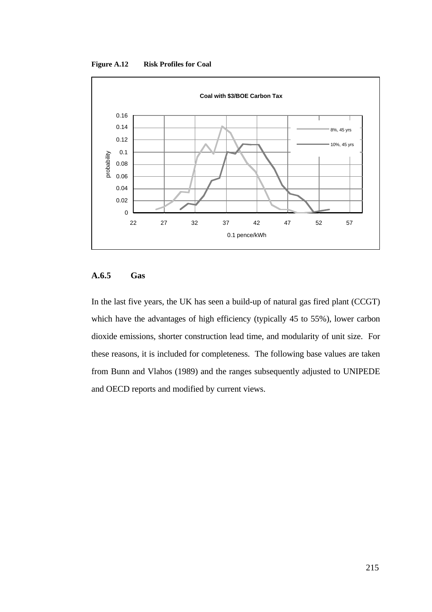**Figure A.12 Risk Profiles for Coal**



# **A.6.5 Gas**

In the last five years, the UK has seen a build-up of natural gas fired plant (CCGT) which have the advantages of high efficiency (typically 45 to 55%), lower carbon dioxide emissions, shorter construction lead time, and modularity of unit size. For these reasons, it is included for completeness. The following base values are taken from Bunn and Vlahos (1989) and the ranges subsequently adjusted to UNIPEDE and OECD reports and modified by current views.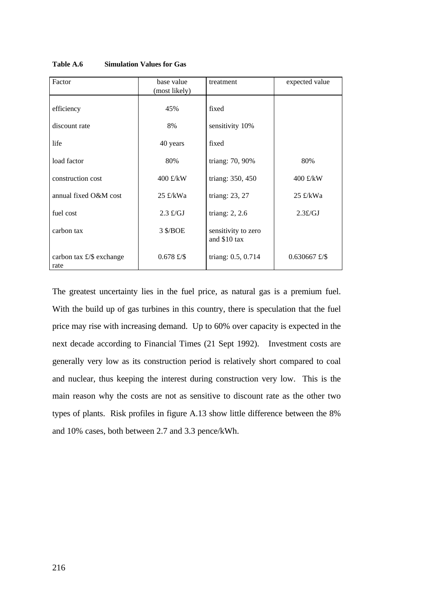| Factor                                    | base value<br>(most likely) | treatment                           | expected value     |
|-------------------------------------------|-----------------------------|-------------------------------------|--------------------|
| efficiency                                | 45%                         | fixed                               |                    |
| discount rate                             | 8%                          | sensitivity 10%                     |                    |
| life                                      | 40 years                    | fixed                               |                    |
| load factor                               | 80%                         | triang: 70, 90%                     | 80%                |
| construction cost                         | 400 £/kW                    | triang: 350, 450                    | 400 £/kW           |
| annual fixed O&M cost                     | $25 \text{ E/KWa}$          | triang: 23, 27                      | $25 \text{ E/KWa}$ |
| fuel cost                                 | $2.3 \text{ E/GJ}$          | triang: $2, 2.6$                    | $2.3 \pounds/GJ$   |
| carbon tax                                | 3 \$/BOE                    | sensitivity to zero<br>and \$10 tax |                    |
| carbon tax $\pounds$ /\$ exchange<br>rate | $0.678$ £/\$                | triang: 0.5, 0.714                  | $0.630667$ £/\$    |

**Table A.6 Simulation Values for Gas**

The greatest uncertainty lies in the fuel price, as natural gas is a premium fuel. With the build up of gas turbines in this country, there is speculation that the fuel price may rise with increasing demand. Up to 60% over capacity is expected in the next decade according to Financial Times (21 Sept 1992). Investment costs are generally very low as its construction period is relatively short compared to coal and nuclear, thus keeping the interest during construction very low. This is the main reason why the costs are not as sensitive to discount rate as the other two types of plants. Risk profiles in figure A.13 show little difference between the 8% and 10% cases, both between 2.7 and 3.3 pence/kWh.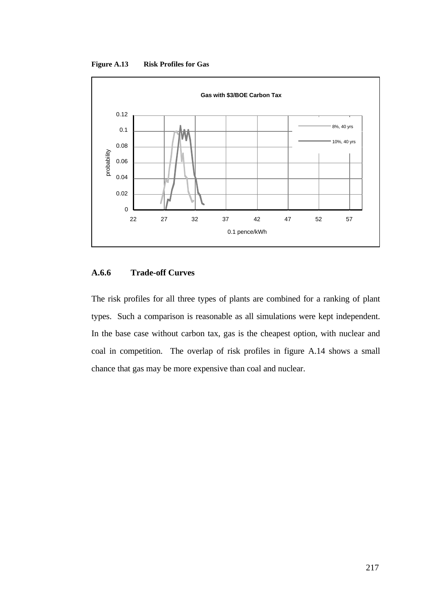**Figure A.13 Risk Profiles for Gas**



# **A.6.6 Trade-off Curves**

The risk profiles for all three types of plants are combined for a ranking of plant types. Such a comparison is reasonable as all simulations were kept independent. In the base case without carbon tax, gas is the cheapest option, with nuclear and coal in competition. The overlap of risk profiles in figure A.14 shows a small chance that gas may be more expensive than coal and nuclear.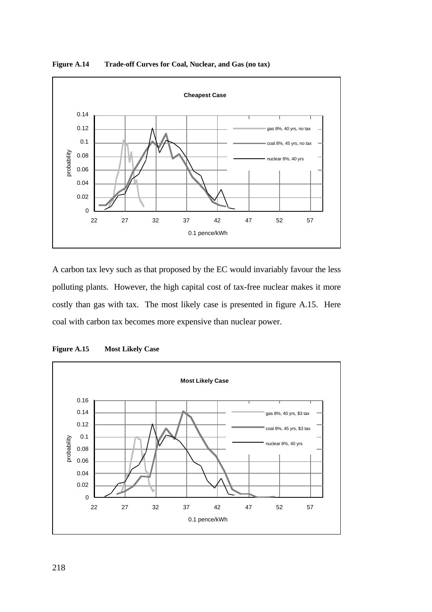

**Figure A.14 Trade-off Curves for Coal, Nuclear, and Gas (no tax)**

A carbon tax levy such as that proposed by the EC would invariably favour the less polluting plants. However, the high capital cost of tax-free nuclear makes it more costly than gas with tax. The most likely case is presented in figure A.15. Here coal with carbon tax becomes more expensive than nuclear power.



**Figure A.15 Most Likely Case**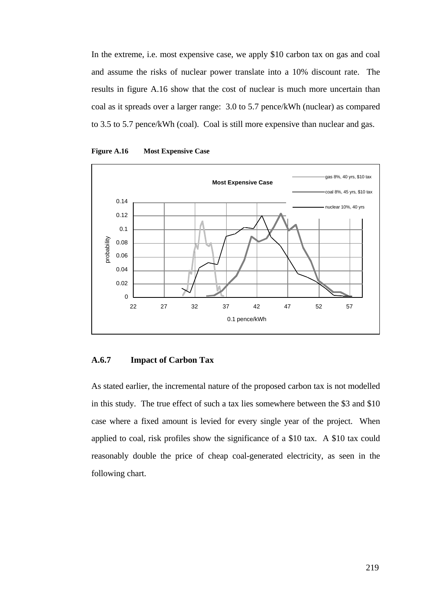In the extreme, i.e. most expensive case, we apply \$10 carbon tax on gas and coal and assume the risks of nuclear power translate into a 10% discount rate. The results in figure A.16 show that the cost of nuclear is much more uncertain than coal as it spreads over a larger range: 3.0 to 5.7 pence/kWh (nuclear) as compared to 3.5 to 5.7 pence/kWh (coal). Coal is still more expensive than nuclear and gas.





# **A.6.7 Impact of Carbon Tax**

As stated earlier, the incremental nature of the proposed carbon tax is not modelled in this study. The true effect of such a tax lies somewhere between the \$3 and \$10 case where a fixed amount is levied for every single year of the project. When applied to coal, risk profiles show the significance of a \$10 tax. A \$10 tax could reasonably double the price of cheap coal-generated electricity, as seen in the following chart.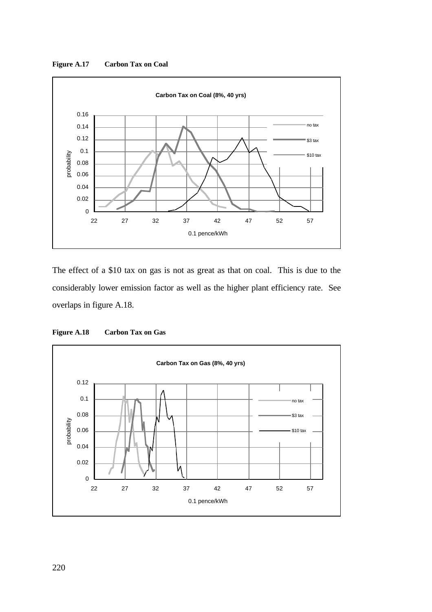**Figure A.17 Carbon Tax on Coal**



The effect of a \$10 tax on gas is not as great as that on coal. This is due to the considerably lower emission factor as well as the higher plant efficiency rate. See overlaps in figure A.18.



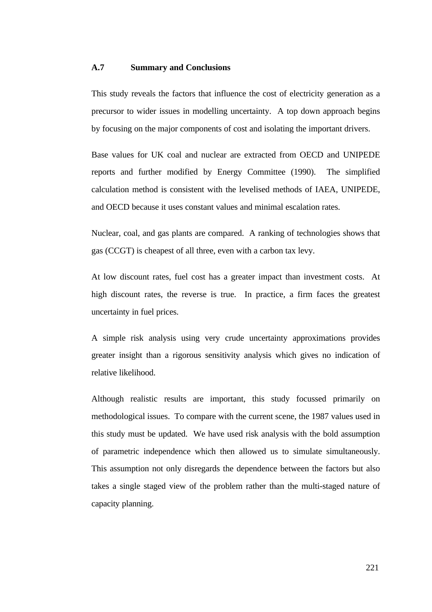#### **A.7 Summary and Conclusions**

This study reveals the factors that influence the cost of electricity generation as a precursor to wider issues in modelling uncertainty. A top down approach begins by focusing on the major components of cost and isolating the important drivers.

Base values for UK coal and nuclear are extracted from OECD and UNIPEDE reports and further modified by Energy Committee (1990). The simplified calculation method is consistent with the levelised methods of IAEA, UNIPEDE, and OECD because it uses constant values and minimal escalation rates.

Nuclear, coal, and gas plants are compared. A ranking of technologies shows that gas (CCGT) is cheapest of all three, even with a carbon tax levy.

At low discount rates, fuel cost has a greater impact than investment costs. At high discount rates, the reverse is true. In practice, a firm faces the greatest uncertainty in fuel prices.

A simple risk analysis using very crude uncertainty approximations provides greater insight than a rigorous sensitivity analysis which gives no indication of relative likelihood.

Although realistic results are important, this study focussed primarily on methodological issues. To compare with the current scene, the 1987 values used in this study must be updated. We have used risk analysis with the bold assumption of parametric independence which then allowed us to simulate simultaneously. This assumption not only disregards the dependence between the factors but also takes a single staged view of the problem rather than the multi-staged nature of capacity planning.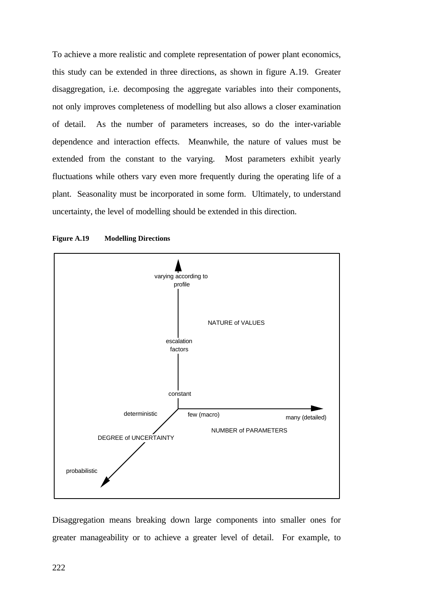To achieve a more realistic and complete representation of power plant economics, this study can be extended in three directions, as shown in figure A.19. Greater disaggregation, i.e. decomposing the aggregate variables into their components, not only improves completeness of modelling but also allows a closer examination of detail. As the number of parameters increases, so do the inter-variable dependence and interaction effects. Meanwhile, the nature of values must be extended from the constant to the varying. Most parameters exhibit yearly fluctuations while others vary even more frequently during the operating life of a plant. Seasonality must be incorporated in some form. Ultimately, to understand uncertainty, the level of modelling should be extended in this direction.



#### **Figure A.19 Modelling Directions**

Disaggregation means breaking down large components into smaller ones for greater manageability or to achieve a greater level of detail. For example, to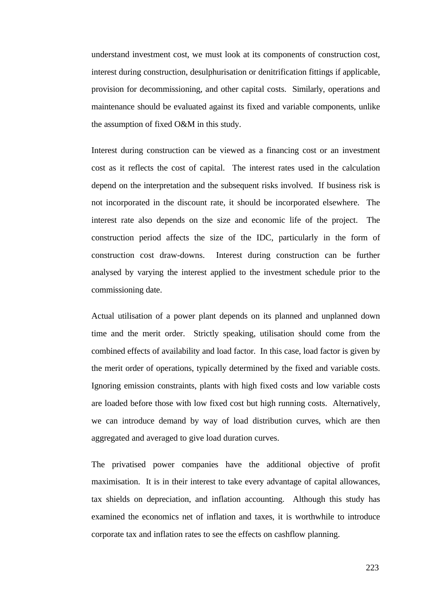understand investment cost, we must look at its components of construction cost, interest during construction, desulphurisation or denitrification fittings if applicable, provision for decommissioning, and other capital costs. Similarly, operations and maintenance should be evaluated against its fixed and variable components, unlike the assumption of fixed O&M in this study.

Interest during construction can be viewed as a financing cost or an investment cost as it reflects the cost of capital. The interest rates used in the calculation depend on the interpretation and the subsequent risks involved. If business risk is not incorporated in the discount rate, it should be incorporated elsewhere. The interest rate also depends on the size and economic life of the project. The construction period affects the size of the IDC, particularly in the form of construction cost draw-downs. Interest during construction can be further analysed by varying the interest applied to the investment schedule prior to the commissioning date.

Actual utilisation of a power plant depends on its planned and unplanned down time and the merit order. Strictly speaking, utilisation should come from the combined effects of availability and load factor. In this case, load factor is given by the merit order of operations, typically determined by the fixed and variable costs. Ignoring emission constraints, plants with high fixed costs and low variable costs are loaded before those with low fixed cost but high running costs. Alternatively, we can introduce demand by way of load distribution curves, which are then aggregated and averaged to give load duration curves.

The privatised power companies have the additional objective of profit maximisation. It is in their interest to take every advantage of capital allowances, tax shields on depreciation, and inflation accounting. Although this study has examined the economics net of inflation and taxes, it is worthwhile to introduce corporate tax and inflation rates to see the effects on cashflow planning.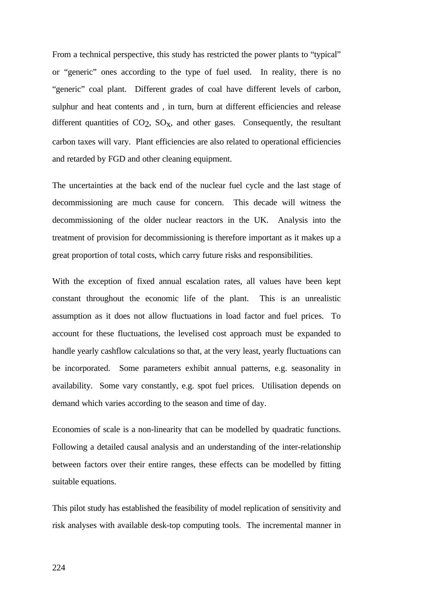From a technical perspective, this study has restricted the power plants to "typical" or "generic" ones according to the type of fuel used. In reality, there is no "generic" coal plant. Different grades of coal have different levels of carbon, sulphur and heat contents and , in turn, burn at different efficiencies and release different quantities of  $CO<sub>2</sub>$ ,  $SO<sub>x</sub>$ , and other gases. Consequently, the resultant carbon taxes will vary. Plant efficiencies are also related to operational efficiencies and retarded by FGD and other cleaning equipment.

The uncertainties at the back end of the nuclear fuel cycle and the last stage of decommissioning are much cause for concern. This decade will witness the decommissioning of the older nuclear reactors in the UK. Analysis into the treatment of provision for decommissioning is therefore important as it makes up a great proportion of total costs, which carry future risks and responsibilities.

With the exception of fixed annual escalation rates, all values have been kept constant throughout the economic life of the plant. This is an unrealistic assumption as it does not allow fluctuations in load factor and fuel prices. To account for these fluctuations, the levelised cost approach must be expanded to handle yearly cashflow calculations so that, at the very least, yearly fluctuations can be incorporated. Some parameters exhibit annual patterns, e.g. seasonality in availability. Some vary constantly, e.g. spot fuel prices. Utilisation depends on demand which varies according to the season and time of day.

Economies of scale is a non-linearity that can be modelled by quadratic functions. Following a detailed causal analysis and an understanding of the inter-relationship between factors over their entire ranges, these effects can be modelled by fitting suitable equations.

This pilot study has established the feasibility of model replication of sensitivity and risk analyses with available desk-top computing tools. The incremental manner in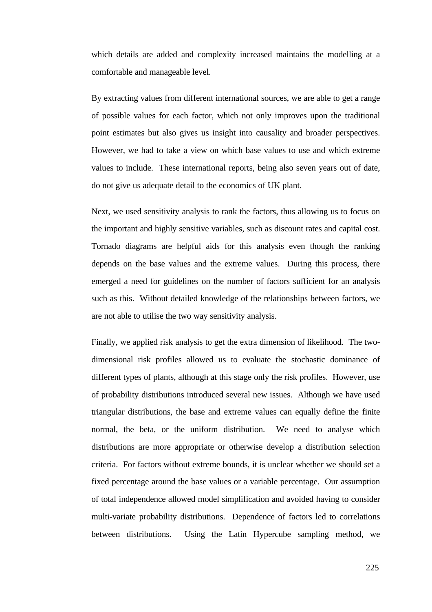which details are added and complexity increased maintains the modelling at a comfortable and manageable level.

By extracting values from different international sources, we are able to get a range of possible values for each factor, which not only improves upon the traditional point estimates but also gives us insight into causality and broader perspectives. However, we had to take a view on which base values to use and which extreme values to include. These international reports, being also seven years out of date, do not give us adequate detail to the economics of UK plant.

Next, we used sensitivity analysis to rank the factors, thus allowing us to focus on the important and highly sensitive variables, such as discount rates and capital cost. Tornado diagrams are helpful aids for this analysis even though the ranking depends on the base values and the extreme values. During this process, there emerged a need for guidelines on the number of factors sufficient for an analysis such as this. Without detailed knowledge of the relationships between factors, we are not able to utilise the two way sensitivity analysis.

Finally, we applied risk analysis to get the extra dimension of likelihood. The twodimensional risk profiles allowed us to evaluate the stochastic dominance of different types of plants, although at this stage only the risk profiles. However, use of probability distributions introduced several new issues. Although we have used triangular distributions, the base and extreme values can equally define the finite normal, the beta, or the uniform distribution. We need to analyse which distributions are more appropriate or otherwise develop a distribution selection criteria. For factors without extreme bounds, it is unclear whether we should set a fixed percentage around the base values or a variable percentage. Our assumption of total independence allowed model simplification and avoided having to consider multi-variate probability distributions. Dependence of factors led to correlations between distributions. Using the Latin Hypercube sampling method, we